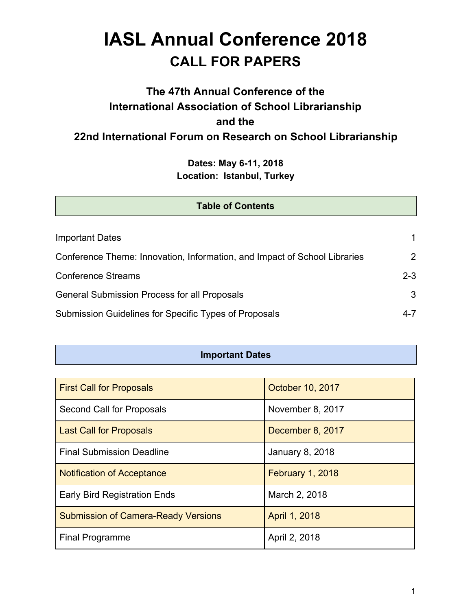# **IASL Annual Conference 2018 CALL FOR PAPERS**

# **The 47th Annual Conference of the International Association of School Librarianship and the 22nd International Forum on Research on School Librarianship**

**Dates: May 6-11, 2018 Location: Istanbul, Turkey**

| <b>Table of Contents</b>                                                  |         |
|---------------------------------------------------------------------------|---------|
|                                                                           |         |
| <b>Important Dates</b>                                                    | 1.      |
| Conference Theme: Innovation, Information, and Impact of School Libraries | 2       |
| <b>Conference Streams</b>                                                 | $2 - 3$ |
| <b>General Submission Process for all Proposals</b>                       | 3       |
| Submission Guidelines for Specific Types of Proposals                     | $4 - 7$ |

#### **Important Dates**

| <b>First Call for Proposals</b>            | October 10, 2017 |
|--------------------------------------------|------------------|
| Second Call for Proposals                  | November 8, 2017 |
| <b>Last Call for Proposals</b>             | December 8, 2017 |
| <b>Final Submission Deadline</b>           | January 8, 2018  |
| <b>Notification of Acceptance</b>          | February 1, 2018 |
| <b>Early Bird Registration Ends</b>        | March 2, 2018    |
| <b>Submission of Camera-Ready Versions</b> | April 1, 2018    |
| <b>Final Programme</b>                     | April 2, 2018    |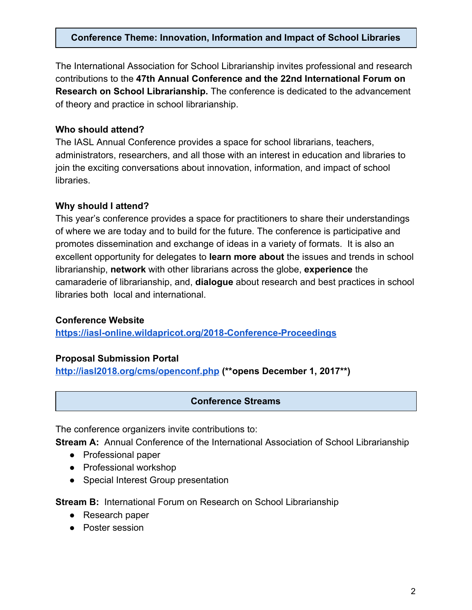#### **Conference Theme: Innovation, Information and Impact of School Libraries**

The International Association for School Librarianship invites professional and research contributions to the **47th Annual Conference and the 22nd International Forum on Research on School Librarianship.** The conference is dedicated to the advancement of theory and practice in school librarianship.

#### **Who should attend?**

The IASL Annual Conference provides a space for school librarians, teachers, administrators, researchers, and all those with an interest in education and libraries to join the exciting conversations about innovation, information, and impact of school libraries.

#### **Why should I attend?**

This year's conference provides a space for practitioners to share their understandings of where we are today and to build for the future. The conference is participative and promotes dissemination and exchange of ideas in a variety of formats. It is also an excellent opportunity for delegates to **learn more about** the issues and trends in school librarianship, **network** with other librarians across the globe, **experience** the camaraderie of librarianship, and, **dialogue** about research and best practices in school libraries both local and international.

#### **Conference Website**

**<https://iasl-online.wildapricot.org/2018-Conference-Proceedings>**

#### **Proposal Submission Portal**

**<http://iasl2018.org/cms/openconf.php> (\*\*opens December 1, 2017\*\*)**

#### **Conference Streams**

The conference organizers invite contributions to:

**Stream A:** Annual Conference of the International Association of School Librarianship

- Professional paper
- Professional workshop
- Special Interest Group presentation

**Stream B:** International Forum on Research on School Librarianship

- Research paper
- Poster session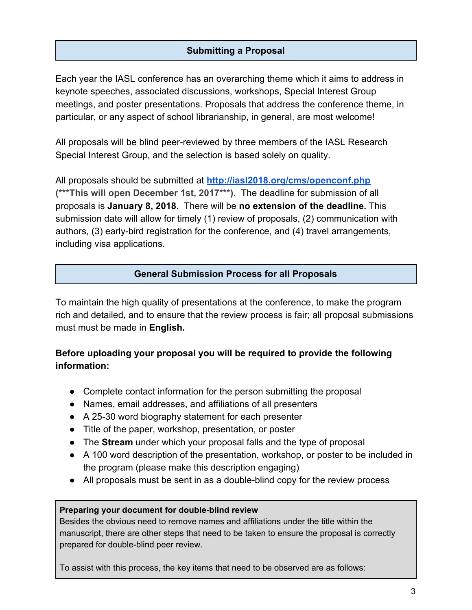# **Submitting a Proposal**

Each year the IASL conference has an overarching theme which it aims to address in keynote speeches, associated discussions, workshops, Special Interest Group meetings, and poster presentations. Proposals that address the conference theme, in particular, or any aspect of school librarianship, in general, are most welcome!

All proposals will be blind peer-reviewed by three members of the IASL Research Special Interest Group, and the selection is based solely on quality.

All proposals should be submitted at **<http://iasl2018.org/cms/openconf.php> (\*\*\*This will open December 1st, 2017\*\*\*)**. The deadline for submission of all proposals is **January 8, 2018.** There will be **no extension of the deadline.** This submission date will allow for timely (1) review of proposals, (2) communication with authors, (3) early-bird registration for the conference, and (4) travel arrangements, including visa applications.

#### **General Submission Process for all Proposals**

To maintain the high quality of presentations at the conference, to make the program rich and detailed, and to ensure that the review process is fair; all proposal submissions must must be made in **English.**

# **Before uploading your proposal you will be required to provide the following information:**

- Complete contact information for the person submitting the proposal
- Names, email addresses, and affiliations of all presenters
- A 25-30 word biography statement for each presenter
- Title of the paper, workshop, presentation, or poster
- The **Stream** under which your proposal falls and the type of proposal
- A 100 word description of the presentation, workshop, or poster to be included in the program (please make this description engaging)
- All proposals must be sent in as a double-blind copy for the review process

#### **Preparing your document for double-blind review**

Besides the obvious need to remove names and affiliations under the title within the manuscript, there are other steps that need to be taken to ensure the proposal is correctly prepared for double-blind peer review.

To assist with this process, the key items that need to be observed are as follows: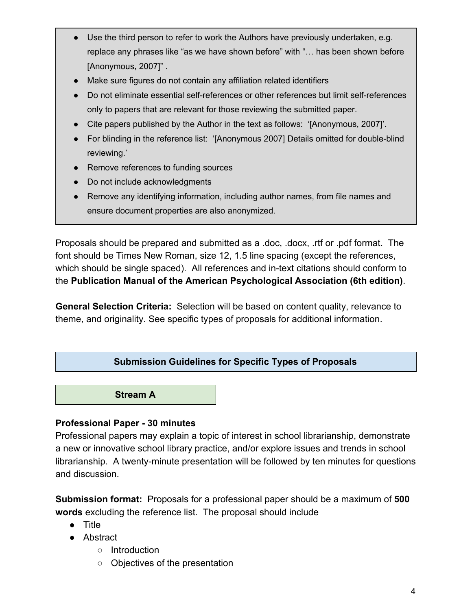- Use the third person to refer to work the Authors have previously undertaken, e.g. replace any phrases like "as we have shown before" with "… has been shown before [Anonymous, 2007]" .
- Make sure figures do not contain any affiliation related identifiers
- Do not eliminate essential self-references or other references but limit self-references only to papers that are relevant for those reviewing the submitted paper.
- Cite papers published by the Author in the text as follows: '[Anonymous, 2007]'.
- For blinding in the reference list: '[Anonymous 2007] Details omitted for double-blind reviewing.'
- Remove references to funding sources
- Do not include acknowledgments
- Remove any identifying information, including author names, from file names and ensure document properties are also anonymized.

Proposals should be prepared and submitted as a .doc, .docx, .rtf or .pdf format. The font should be Times New Roman, size 12, 1.5 line spacing (except the references, which should be single spaced). All references and in-text citations should conform to the **Publication Manual of the American Psychological Association (6th edition)**.

**General Selection Criteria:** Selection will be based on content quality, relevance to theme, and originality. See specific types of proposals for additional information.

#### **Submission Guidelines for Specific Types of Proposals**

**Stream A**

#### **Professional Paper - 30 minutes**

Professional papers may explain a topic of interest in school librarianship, demonstrate a new or innovative school library practice, and/or explore issues and trends in school librarianship. A twenty-minute presentation will be followed by ten minutes for questions and discussion.

**Submission format:** Proposals for a professional paper should be a maximum of **500 words** excluding the reference list. The proposal should include

- Title
- Abstract
	- Introduction
	- Objectives of the presentation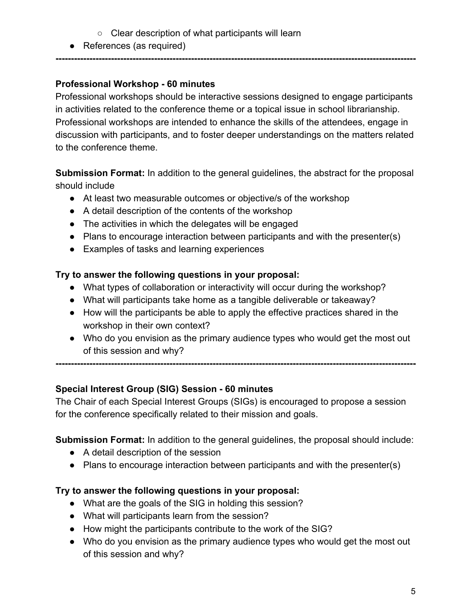- Clear description of what participants will learn
- References (as required)

# **Professional Workshop - 60 minutes**

Professional workshops should be interactive sessions designed to engage participants in activities related to the conference theme or a topical issue in school librarianship. Professional workshops are intended to enhance the skills of the attendees, engage in discussion with participants, and to foster deeper understandings on the matters related to the conference theme.

**---------------------------------------------------------------------------------------------------------------------**

**Submission Format:** In addition to the general guidelines, the abstract for the proposal should include

- At least two measurable outcomes or objective/s of the workshop
- A detail description of the contents of the workshop
- The activities in which the delegates will be engaged
- Plans to encourage interaction between participants and with the presenter(s)
- Examples of tasks and learning experiences

# **Try to answer the following questions in your proposal:**

- What types of collaboration or interactivity will occur during the workshop?
- What will participants take home as a tangible deliverable or takeaway?
- How will the participants be able to apply the effective practices shared in the workshop in their own context?
- **●** Who do you envision as the primary audience types who would get the most out of this session and why?

**---------------------------------------------------------------------------------------------------------------------**

# **Special Interest Group (SIG) Session - 60 minutes**

The Chair of each Special Interest Groups (SIGs) is encouraged to propose a session for the conference specifically related to their mission and goals.

**Submission Format:** In addition to the general guidelines, the proposal should include:

- A detail description of the session
- Plans to encourage interaction between participants and with the presenter(s)

# **Try to answer the following questions in your proposal:**

- What are the goals of the SIG in holding this session?
- What will participants learn from the session?
- How might the participants contribute to the work of the SIG?
- **●** Who do you envision as the primary audience types who would get the most out of this session and why?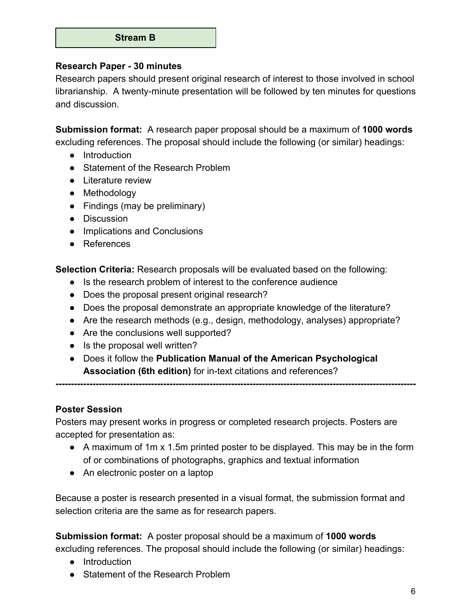#### **Stream B**

#### **Research Paper - 30 minutes**

Research papers should present original research of interest to those involved in school librarianship. A twenty-minute presentation will be followed by ten minutes for questions and discussion.

**Submission format:** A research paper proposal should be a maximum of **1000 words** excluding references. The proposal should include the following (or similar) headings:

- Introduction
- Statement of the Research Problem
- Literature review
- Methodology
- Findings (may be preliminary)
- Discussion
- Implications and Conclusions
- References

**Selection Criteria:** Research proposals will be evaluated based on the following:

- Is the research problem of interest to the conference audience
- Does the proposal present original research?
- Does the proposal demonstrate an appropriate knowledge of the literature?
- Are the research methods (e.g., design, methodology, analyses) appropriate?

**---------------------------------------------------------------------------------------------------------------------**

- Are the conclusions well supported?
- Is the proposal well written?
- Does it follow the **Publication Manual of the American Psychological Association (6th edition)** for in-text citations and references?

**Poster Session**

Posters may present works in progress or completed research projects. Posters are accepted for presentation as:

- A maximum of 1m x 1.5m printed poster to be displayed. This may be in the form of or combinations of photographs, graphics and textual information
- An electronic poster on a laptop

Because a poster is research presented in a visual format, the submission format and selection criteria are the same as for research papers.

**Submission format:** A poster proposal should be a maximum of **1000 words** excluding references. The proposal should include the following (or similar) headings:

- Introduction
- Statement of the Research Problem